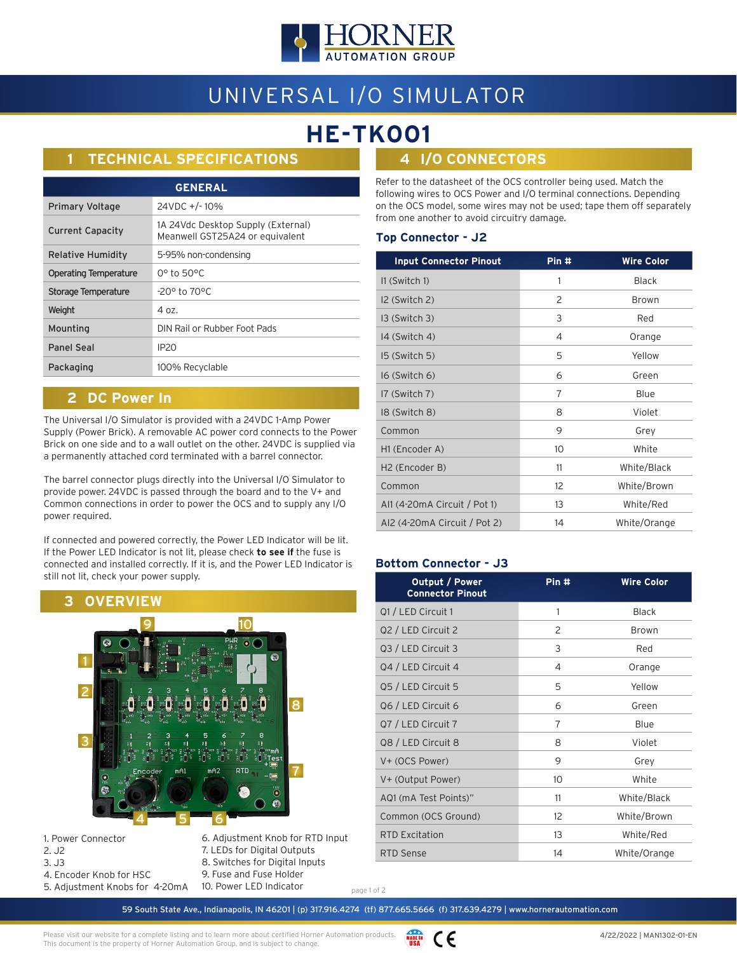

# UNIVERSAL I/O SIMULATOR

# **HE-TK001**

# **1 TECHNICAL SPECIFICATIONS**

| <b>GENERAL</b>               |                                                                       |  |
|------------------------------|-----------------------------------------------------------------------|--|
| <b>Primary Voltage</b>       | 24VDC +/-10%                                                          |  |
| <b>Current Capacity</b>      | 1A 24Vdc Desktop Supply (External)<br>Meanwell GST25A24 or equivalent |  |
| Relative Humidity            | 5-95% non-condensing                                                  |  |
| <b>Operating Temperature</b> | 0° to 50°C                                                            |  |
| Storage Temperature          | -20° to 70°C                                                          |  |
| Weight                       | 4 oz.                                                                 |  |
| Mounting                     | DIN Rail or Rubber Foot Pads                                          |  |
| <b>Panel Seal</b>            | IP <sub>20</sub>                                                      |  |
| Packaging                    | 100% Recyclable                                                       |  |

## **2 DC Power In**

The Universal I/O Simulator is provided with a 24VDC 1-Amp Power Supply (Power Brick). A removable AC power cord connects to the Power Brick on one side and to a wall outlet on the other. 24VDC is supplied via a permanently attached cord terminated with a barrel connector.

The barrel connector plugs directly into the Universal I/O Simulator to provide power. 24VDC is passed through the board and to the V+ and Common connections in order to power the OCS and to supply any I/O power required.

If connected and powered correctly, the Power LED Indicator will be lit. If the Power LED Indicator is not lit, please check **to see if** the fuse is connected and installed correctly. If it is, and the Power LED Indicator is still not lit, check your power supply.



1. Power Connector 2. J2 3. J3 4. Encoder Knob for HSC 5. Adjustment Knobs for 4-20mA

6. Adjustment Knob for RTD Input 7. LEDs for Digital Outputs 8. Switches for Digital Inputs 9. Fuse and Fuse Holder 10. Power LED Indicator

**4 I/O CONNECTORS**

Refer to the datasheet of the OCS controller being used. Match the following wires to OCS Power and I/O terminal connections. Depending on the OCS model, some wires may not be used; tape them off separately from one another to avoid circuitry damage.

#### **Top Connector - J2**

| <b>Input Connector Pinout</b> | Pin #           | <b>Wire Color</b> |
|-------------------------------|-----------------|-------------------|
| I1 (Switch 1)                 | 1               | <b>Black</b>      |
| I2 (Switch 2)                 | 2               | <b>Brown</b>      |
| 13 (Switch 3)                 | 3               | Red               |
| 14 (Switch 4)                 | 4               | Orange            |
| I5 (Switch 5)                 | 5               | Yellow            |
| I6 (Switch 6)                 | 6               | Green             |
| I7 (Switch 7)                 | 7               | Blue              |
| 18 (Switch 8)                 | 8               | Violet            |
| Common                        | 9               | Grey              |
| H1 (Encoder A)                | 10 <sup>°</sup> | White             |
| H <sub>2</sub> (Encoder B)    | 11              | White/Black       |
| Common                        | 12              | White/Brown       |
| Al1 (4-20mA Circuit / Pot 1)  | 13              | White/Red         |
| AI2 (4-20mA Circuit / Pot 2)  | 14              | White/Orange      |

### **Bottom Connector - J3**

| Pin# | <b>Wire Color</b> |
|------|-------------------|
| 1    | <b>Black</b>      |
| 2    | <b>Brown</b>      |
| 3    | Red               |
| 4    | Orange            |
| 5    | Yellow            |
| 6    | Green             |
| 7    | Blue              |
| 8    | Violet            |
| 9    | Grey              |
| 10   | White             |
| 11   | White/Black       |
| 12   | White/Brown       |
| 13   | White/Red         |
| 14   | White/Orange      |
|      |                   |

page 1 of 2

59 South State Ave., Indianapolis, IN 46201 | (p) 317.916.4274 (tf) 877.665.5666 (f) 317.639.4279 | www.hornerautomation.com

Please visit our website for a complete listing and to learn more about certified Horner Automation products. This document is the property of Horner Automation Group, and is subject to change.